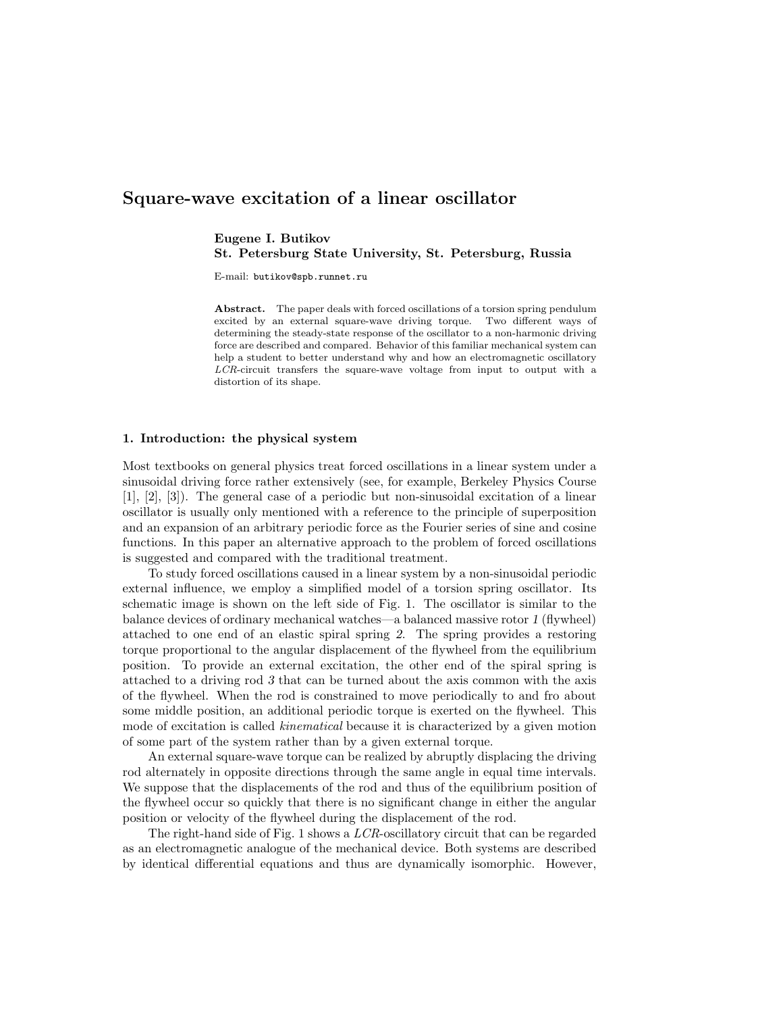Eugene I. Butikov

St. Petersburg State University, St. Petersburg, Russia

E-mail: butikov@spb.runnet.ru

Abstract. The paper deals with forced oscillations of a torsion spring pendulum excited by an external square-wave driving torque. Two different ways of determining the steady-state response of the oscillator to a non-harmonic driving force are described and compared. Behavior of this familiar mechanical system can help a student to better understand why and how an electromagnetic oscillatory LCR-circuit transfers the square-wave voltage from input to output with a distortion of its shape.

#### 1. Introduction: the physical system

Most textbooks on general physics treat forced oscillations in a linear system under a sinusoidal driving force rather extensively (see, for example, Berkeley Physics Course [1], [2], [3]). The general case of a periodic but non-sinusoidal excitation of a linear oscillator is usually only mentioned with a reference to the principle of superposition and an expansion of an arbitrary periodic force as the Fourier series of sine and cosine functions. In this paper an alternative approach to the problem of forced oscillations is suggested and compared with the traditional treatment.

To study forced oscillations caused in a linear system by a non-sinusoidal periodic external influence, we employ a simplified model of a torsion spring oscillator. Its schematic image is shown on the left side of Fig. 1. The oscillator is similar to the balance devices of ordinary mechanical watches—a balanced massive rotor 1 (flywheel) attached to one end of an elastic spiral spring 2. The spring provides a restoring torque proportional to the angular displacement of the flywheel from the equilibrium position. To provide an external excitation, the other end of the spiral spring is attached to a driving rod 3 that can be turned about the axis common with the axis of the flywheel. When the rod is constrained to move periodically to and fro about some middle position, an additional periodic torque is exerted on the flywheel. This mode of excitation is called *kinematical* because it is characterized by a given motion of some part of the system rather than by a given external torque.

An external square-wave torque can be realized by abruptly displacing the driving rod alternately in opposite directions through the same angle in equal time intervals. We suppose that the displacements of the rod and thus of the equilibrium position of the flywheel occur so quickly that there is no significant change in either the angular position or velocity of the flywheel during the displacement of the rod.

The right-hand side of Fig. 1 shows a LCR-oscillatory circuit that can be regarded as an electromagnetic analogue of the mechanical device. Both systems are described by identical differential equations and thus are dynamically isomorphic. However,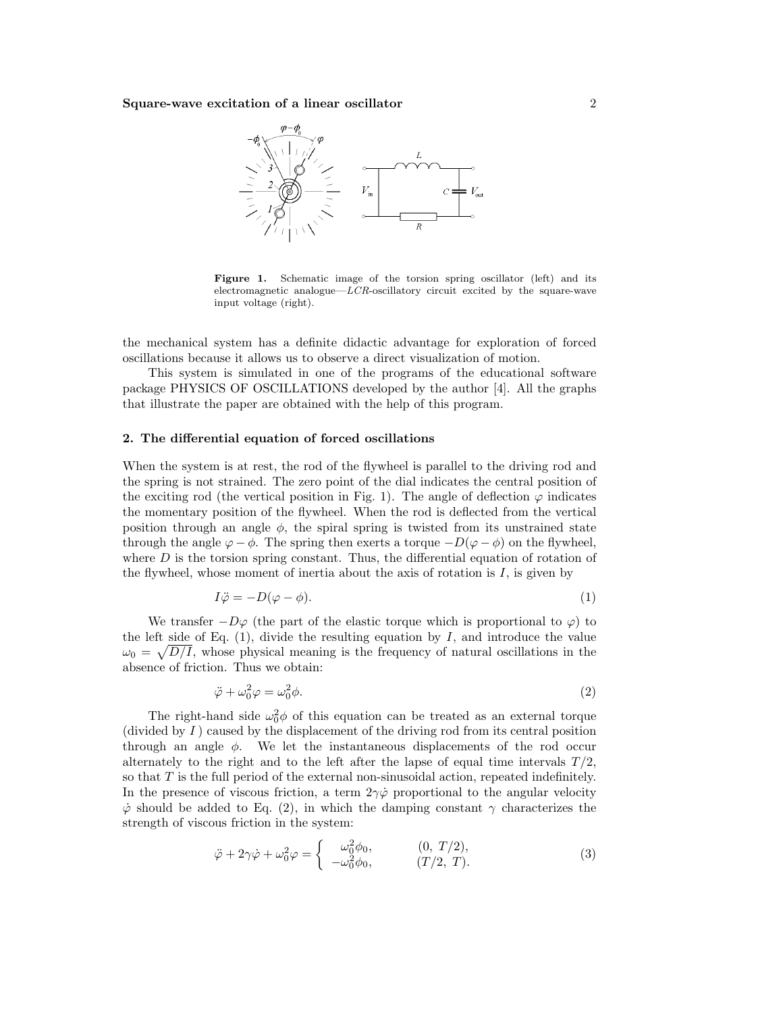

Figure 1. Schematic image of the torsion spring oscillator (left) and its electromagnetic analogue— $LCR$ -oscillatory circuit excited by the square-wave input voltage (right).

the mechanical system has a definite didactic advantage for exploration of forced oscillations because it allows us to observe a direct visualization of motion.

This system is simulated in one of the programs of the educational software package PHYSICS OF OSCILLATIONS developed by the author [4]. All the graphs that illustrate the paper are obtained with the help of this program.

## 2. The differential equation of forced oscillations

When the system is at rest, the rod of the flywheel is parallel to the driving rod and the spring is not strained. The zero point of the dial indicates the central position of the exciting rod (the vertical position in Fig. 1). The angle of deflection  $\varphi$  indicates the momentary position of the flywheel. When the rod is deflected from the vertical position through an angle  $\phi$ , the spiral spring is twisted from its unstrained state through the angle  $\varphi - \phi$ . The spring then exerts a torque  $-D(\varphi - \phi)$  on the flywheel. where  $D$  is the torsion spring constant. Thus, the differential equation of rotation of the flywheel, whose moment of inertia about the axis of rotation is  $I$ , is given by

$$
I\ddot{\varphi} = -D(\varphi - \phi). \tag{1}
$$

We transfer  $-D\varphi$  (the part of the elastic torque which is proportional to  $\varphi$ ) to the left side of Eq.  $(1)$ , divide the resulting equation by  $I$ , and introduce the value  $\omega_0 = \sqrt{D/I}$ , whose physical meaning is the frequency of natural oscillations in the absence of friction. Thus we obtain:

$$
\ddot{\varphi} + \omega_0^2 \varphi = \omega_0^2 \phi. \tag{2}
$$

The right-hand side  $\omega_0^2 \phi$  of this equation can be treated as an external torque (divided by  $I$ ) caused by the displacement of the driving rod from its central position through an angle  $\phi$ . We let the instantaneous displacements of the rod occur alternately to the right and to the left after the lapse of equal time intervals  $T/2$ , so that  $T$  is the full period of the external non-sinusoidal action, repeated indefinitely. In the presence of viscous friction, a term  $2\gamma\dot{\varphi}$  proportional to the angular velocity  $\dot{\varphi}$  should be added to Eq. (2), in which the damping constant  $\gamma$  characterizes the strength of viscous friction in the system:

$$
\ddot{\varphi} + 2\gamma \dot{\varphi} + \omega_0^2 \varphi = \begin{cases} \omega_0^2 \phi_0, & (0, T/2), \\ -\omega_0^2 \phi_0, & (T/2, T). \end{cases}
$$
(3)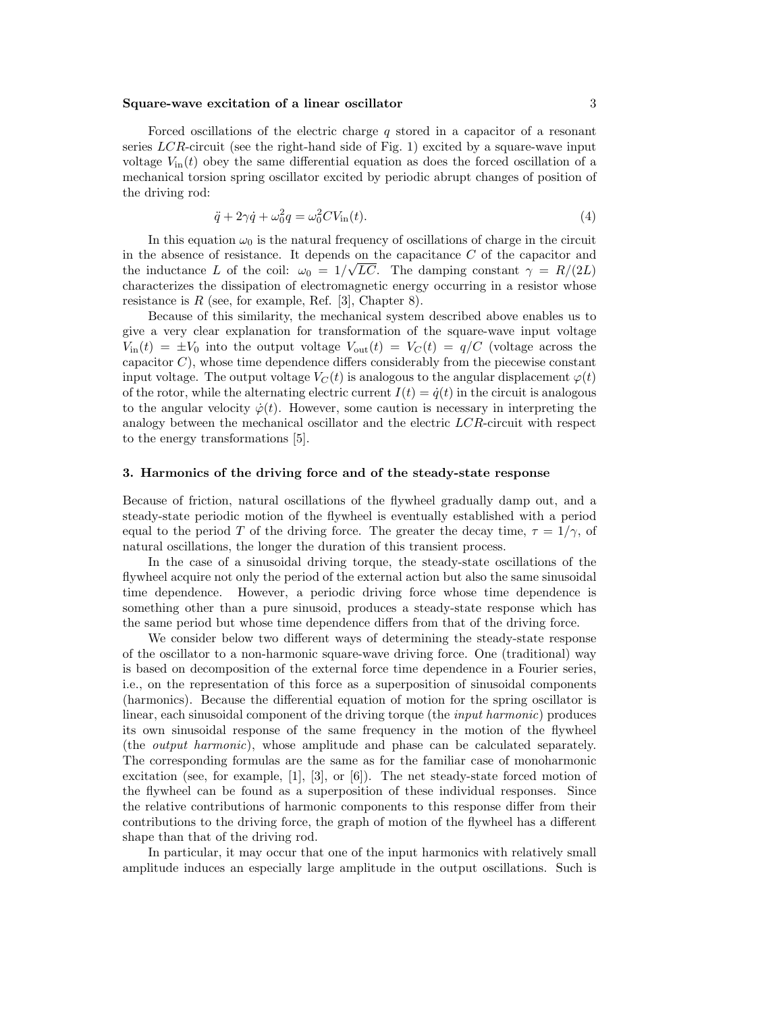Forced oscillations of the electric charge  $q$  stored in a capacitor of a resonant series  $LCR$ -circuit (see the right-hand side of Fig. 1) excited by a square-wave input voltage  $V_{\text{in}}(t)$  obey the same differential equation as does the forced oscillation of a mechanical torsion spring oscillator excited by periodic abrupt changes of position of the driving rod:

$$
\ddot{q} + 2\gamma \dot{q} + \omega_0^2 q = \omega_0^2 CV_{\rm in}(t). \tag{4}
$$

In this equation  $\omega_0$  is the natural frequency of oscillations of charge in the circuit in the absence of resistance. It depends on the capacitance  $C$  of the capacitor and the inductance L of the coil:  $\omega_0 = 1/\sqrt{LC}$ . The damping constant  $\gamma = R/(2L)$ characterizes the dissipation of electromagnetic energy occurring in a resistor whose resistance is  $R$  (see, for example, Ref. [3], Chapter 8).

Because of this similarity, the mechanical system described above enables us to give a very clear explanation for transformation of the square-wave input voltage  $V_{\text{in}}(t) = \pm V_0$  into the output voltage  $V_{\text{out}}(t) = V_C(t) = q/C$  (voltage across the capacitor  $C$ ), whose time dependence differs considerably from the piecewise constant input voltage. The output voltage  $V_C(t)$  is analogous to the angular displacement  $\varphi(t)$ of the rotor, while the alternating electric current  $I(t) = \dot{q}(t)$  in the circuit is analogous to the angular velocity  $\dot{\varphi}(t)$ . However, some caution is necessary in interpreting the analogy between the mechanical oscillator and the electric LCR-circuit with respect to the energy transformations [5].

## 3. Harmonics of the driving force and of the steady-state response

Because of friction, natural oscillations of the flywheel gradually damp out, and a steady-state periodic motion of the flywheel is eventually established with a period equal to the period T of the driving force. The greater the decay time,  $\tau = 1/\gamma$ , of natural oscillations, the longer the duration of this transient process.

In the case of a sinusoidal driving torque, the steady-state oscillations of the flywheel acquire not only the period of the external action but also the same sinusoidal time dependence. However, a periodic driving force whose time dependence is something other than a pure sinusoid, produces a steady-state response which has the same period but whose time dependence differs from that of the driving force.

We consider below two different ways of determining the steady-state response of the oscillator to a non-harmonic square-wave driving force. One (traditional) way is based on decomposition of the external force time dependence in a Fourier series, i.e., on the representation of this force as a superposition of sinusoidal components (harmonics). Because the differential equation of motion for the spring oscillator is linear, each sinusoidal component of the driving torque (the *input harmonic*) produces its own sinusoidal response of the same frequency in the motion of the flywheel (the output harmonic), whose amplitude and phase can be calculated separately. The corresponding formulas are the same as for the familiar case of monoharmonic excitation (see, for example, [1], [3], or [6]). The net steady-state forced motion of the flywheel can be found as a superposition of these individual responses. Since the relative contributions of harmonic components to this response differ from their contributions to the driving force, the graph of motion of the flywheel has a different shape than that of the driving rod.

In particular, it may occur that one of the input harmonics with relatively small amplitude induces an especially large amplitude in the output oscillations. Such is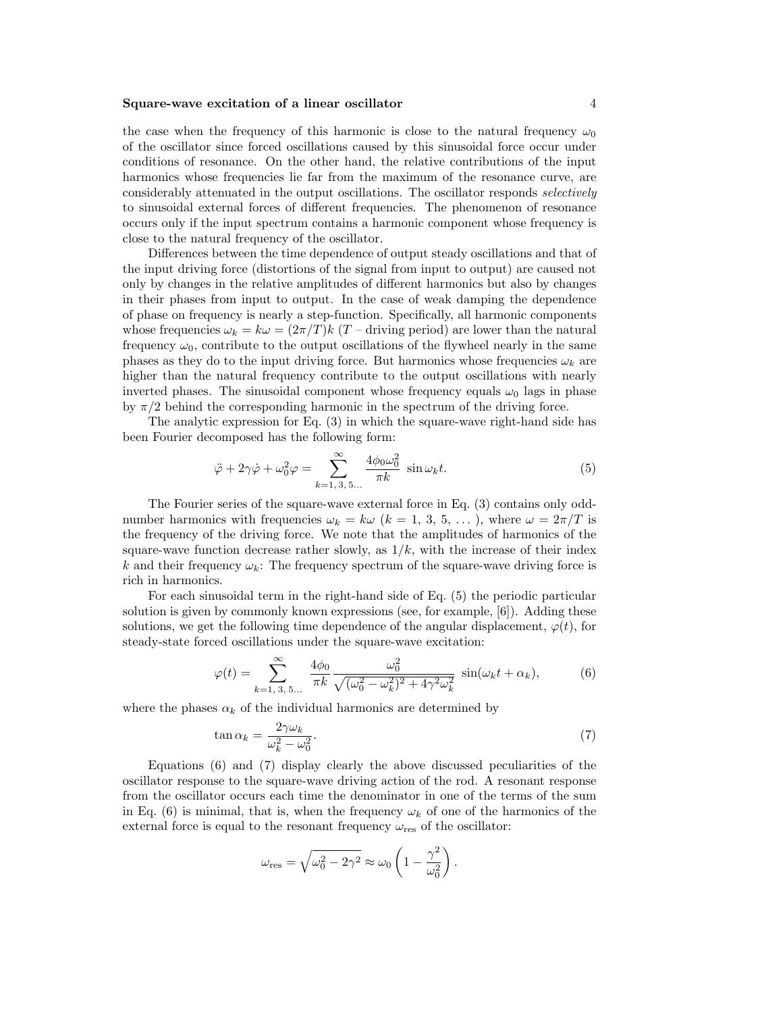the case when the frequency of this harmonic is close to the natural frequency  $\omega_0$ of the oscillator since forced oscillations caused by this sinusoidal force occur under conditions of resonance. On the other hand, the relative contributions of the input harmonics whose frequencies lie far from the maximum of the resonance curve, are considerably attenuated in the output oscillations. The oscillator responds selectively to sinusoidal external forces of different frequencies. The phenomenon of resonance occurs only if the input spectrum contains a harmonic component whose frequency is close to the natural frequency of the oscillator.

Differences between the time dependence of output steady oscillations and that of the input driving force (distortions of the signal from input to output) are caused not only by changes in the relative amplitudes of different harmonics but also by changes in their phases from input to output. In the case of weak damping the dependence of phase on frequency is nearly a step-function. Specifically, all harmonic components whose frequencies  $\omega_k = k\omega = (2\pi/T)k(T - \text{driving period})$  are lower than the natural frequency  $\omega_0$ , contribute to the output oscillations of the flywheel nearly in the same phases as they do to the input driving force. But harmonics whose frequencies  $\omega_k$  are higher than the natural frequency contribute to the output oscillations with nearly inverted phases. The sinusoidal component whose frequency equals  $\omega_0$  lags in phase by  $\pi/2$  behind the corresponding harmonic in the spectrum of the driving force.

The analytic expression for Eq. (3) in which the square-wave right-hand side has been Fourier decomposed has the following form:

$$
\ddot{\varphi} + 2\gamma \dot{\varphi} + \omega_0^2 \varphi = \sum_{k=1,3,5...}^{\infty} \frac{4\phi_0 \omega_0^2}{\pi k} \sin \omega_k t.
$$
 (5)

The Fourier series of the square-wave external force in Eq. (3) contains only oddnumber harmonics with frequencies  $\omega_k = k\omega$   $(k = 1, 3, 5, \dots)$ , where  $\omega = 2\pi/T$  is the frequency of the driving force. We note that the amplitudes of harmonics of the square-wave function decrease rather slowly, as  $1/k$ , with the increase of their index k and their frequency  $\omega_k$ : The frequency spectrum of the square-wave driving force is rich in harmonics.

For each sinusoidal term in the right-hand side of Eq. (5) the periodic particular solution is given by commonly known expressions (see, for example, [6]). Adding these solutions, we get the following time dependence of the angular displacement,  $\varphi(t)$ , for steady-state forced oscillations under the square-wave excitation:

$$
\varphi(t) = \sum_{k=1,3,5...}^{\infty} \frac{4\phi_0}{\pi k} \frac{\omega_0^2}{\sqrt{(\omega_0^2 - \omega_k^2)^2 + 4\gamma^2 \omega_k^2}} \sin(\omega_k t + \alpha_k),\tag{6}
$$

where the phases  $\alpha_k$  of the individual harmonics are determined by

$$
\tan \alpha_k = \frac{2\gamma\omega_k}{\omega_k^2 - \omega_0^2}.\tag{7}
$$

Equations (6) and (7) display clearly the above discussed peculiarities of the oscillator response to the square-wave driving action of the rod. A resonant response from the oscillator occurs each time the denominator in one of the terms of the sum in Eq. (6) is minimal, that is, when the frequency  $\omega_k$  of one of the harmonics of the external force is equal to the resonant frequency  $\omega_{\text{res}}$  of the oscillator:

$$
\omega_{\rm res} = \sqrt{\omega_0^2 - 2\gamma^2} \approx \omega_0 \left( 1 - \frac{\gamma^2}{\omega_0^2} \right).
$$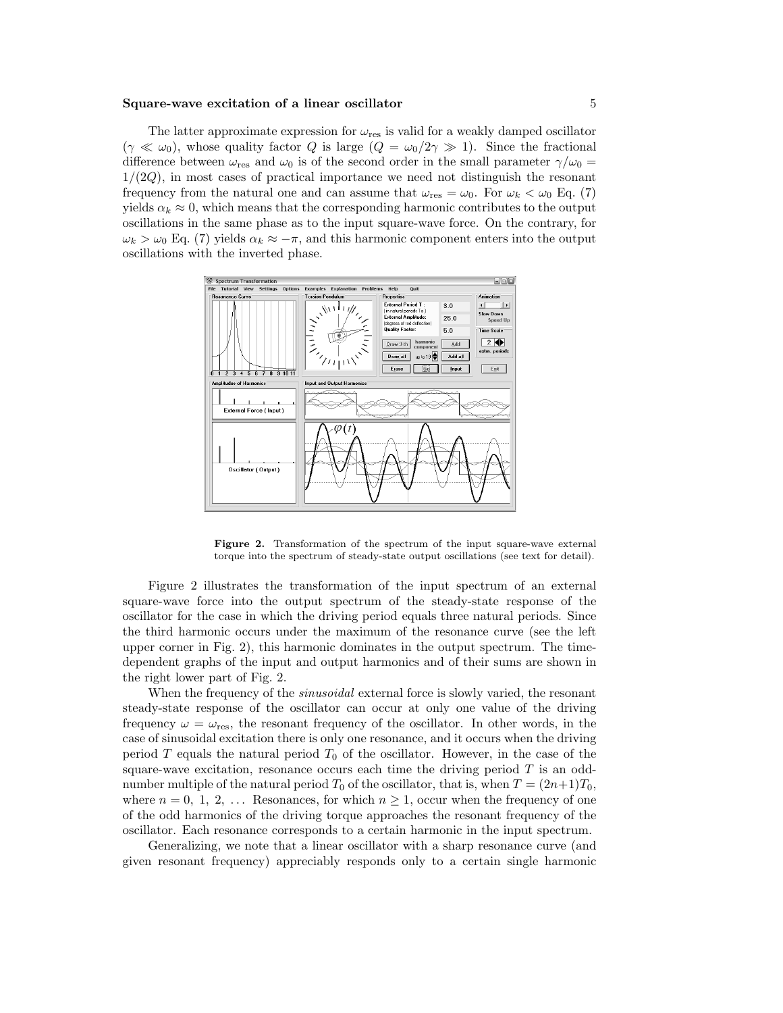The latter approximate expression for  $\omega_{res}$  is valid for a weakly damped oscillator  $(\gamma \ll \omega_0)$ , whose quality factor Q is large  $(Q = \omega_0/2\gamma \gg 1)$ . Since the fractional difference between  $\omega_{\text{res}}$  and  $\omega_0$  is of the second order in the small parameter  $\gamma/\omega_0 =$  $1/(2Q)$ , in most cases of practical importance we need not distinguish the resonant frequency from the natural one and can assume that  $\omega_{\text{res}} = \omega_0$ . For  $\omega_k < \omega_0$  Eq. (7) yields  $\alpha_k \approx 0$ , which means that the corresponding harmonic contributes to the output oscillations in the same phase as to the input square-wave force. On the contrary, for  $\omega_k > \omega_0$  Eq. (7) yields  $\alpha_k \approx -\pi$ , and this harmonic component enters into the output oscillations with the inverted phase.



Figure 2. Transformation of the spectrum of the input square-wave external torque into the spectrum of steady-state output oscillations (see text for detail).

Figure 2 illustrates the transformation of the input spectrum of an external square-wave force into the output spectrum of the steady-state response of the oscillator for the case in which the driving period equals three natural periods. Since the third harmonic occurs under the maximum of the resonance curve (see the left upper corner in Fig. 2), this harmonic dominates in the output spectrum. The timedependent graphs of the input and output harmonics and of their sums are shown in the right lower part of Fig. 2.

When the frequency of the *sinusoidal* external force is slowly varied, the resonant steady-state response of the oscillator can occur at only one value of the driving frequency  $\omega = \omega_{\text{res}}$ , the resonant frequency of the oscillator. In other words, in the case of sinusoidal excitation there is only one resonance, and it occurs when the driving period T equals the natural period  $T_0$  of the oscillator. However, in the case of the square-wave excitation, resonance occurs each time the driving period  $T$  is an oddnumber multiple of the natural period  $T_0$  of the oscillator, that is, when  $T = (2n+1)T_0$ , where  $n = 0, 1, 2, \ldots$  Resonances, for which  $n \geq 1$ , occur when the frequency of one of the odd harmonics of the driving torque approaches the resonant frequency of the oscillator. Each resonance corresponds to a certain harmonic in the input spectrum.

Generalizing, we note that a linear oscillator with a sharp resonance curve (and given resonant frequency) appreciably responds only to a certain single harmonic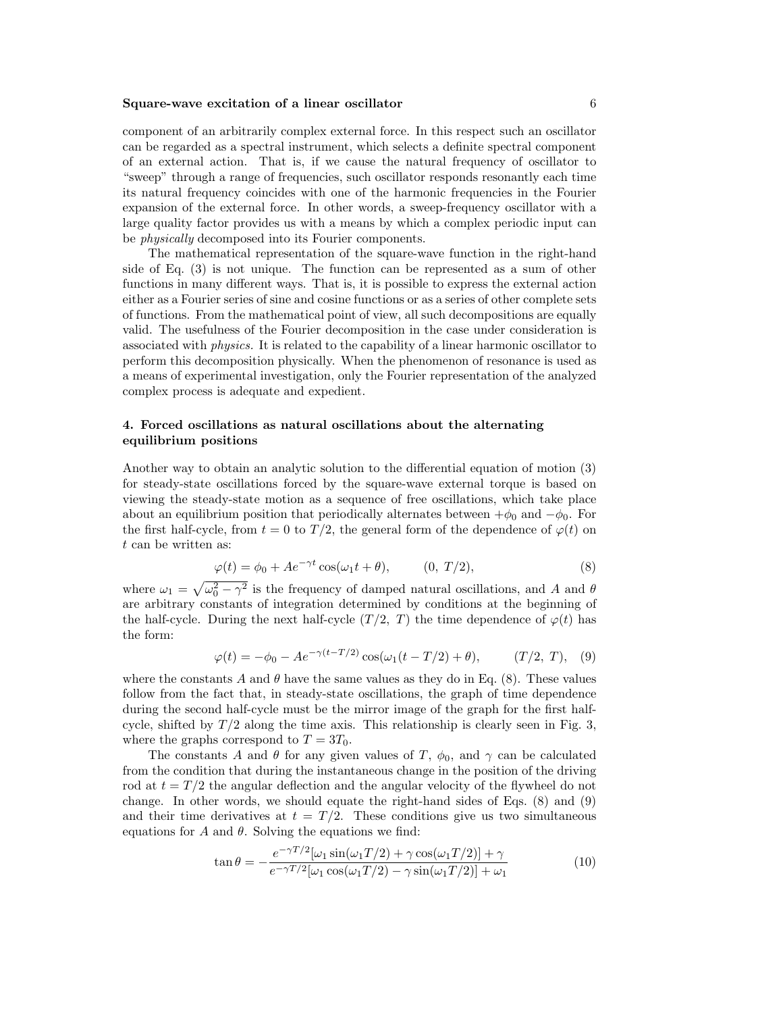component of an arbitrarily complex external force. In this respect such an oscillator can be regarded as a spectral instrument, which selects a definite spectral component of an external action. That is, if we cause the natural frequency of oscillator to "sweep" through a range of frequencies, such oscillator responds resonantly each time its natural frequency coincides with one of the harmonic frequencies in the Fourier expansion of the external force. In other words, a sweep-frequency oscillator with a large quality factor provides us with a means by which a complex periodic input can be *physically* decomposed into its Fourier components.

The mathematical representation of the square-wave function in the right-hand side of Eq. (3) is not unique. The function can be represented as a sum of other functions in many different ways. That is, it is possible to express the external action either as a Fourier series of sine and cosine functions or as a series of other complete sets of functions. From the mathematical point of view, all such decompositions are equally valid. The usefulness of the Fourier decomposition in the case under consideration is associated with physics. It is related to the capability of a linear harmonic oscillator to perform this decomposition physically. When the phenomenon of resonance is used as a means of experimental investigation, only the Fourier representation of the analyzed complex process is adequate and expedient.

# 4. Forced oscillations as natural oscillations about the alternating equilibrium positions

Another way to obtain an analytic solution to the differential equation of motion (3) for steady-state oscillations forced by the square-wave external torque is based on viewing the steady-state motion as a sequence of free oscillations, which take place about an equilibrium position that periodically alternates between  $+\phi_0$  and  $-\phi_0$ . For the first half-cycle, from  $t = 0$  to  $T/2$ , the general form of the dependence of  $\varphi(t)$  on t can be written as:

$$
\varphi(t) = \phi_0 + Ae^{-\gamma t} \cos(\omega_1 t + \theta), \qquad (0, T/2), \tag{8}
$$

where  $\omega_1 =$ p  $\omega_0^2 - \gamma^2$  is the frequency of damped natural oscillations, and A and  $\theta$ are arbitrary constants of integration determined by conditions at the beginning of the half-cycle. During the next half-cycle  $(T/2, T)$  the time dependence of  $\varphi(t)$  has the form:

$$
\varphi(t) = -\phi_0 - Ae^{-\gamma(t - T/2)}\cos(\omega_1(t - T/2) + \theta), \qquad (T/2, T), \quad (9)
$$

where the constants A and  $\theta$  have the same values as they do in Eq. (8). These values follow from the fact that, in steady-state oscillations, the graph of time dependence during the second half-cycle must be the mirror image of the graph for the first halfcycle, shifted by  $T/2$  along the time axis. This relationship is clearly seen in Fig. 3, where the graphs correspond to  $T = 3T_0$ .

The constants A and  $\theta$  for any given values of T,  $\phi_0$ , and  $\gamma$  can be calculated from the condition that during the instantaneous change in the position of the driving rod at  $t = T/2$  the angular deflection and the angular velocity of the flywheel do not change. In other words, we should equate the right-hand sides of Eqs. (8) and (9) and their time derivatives at  $t = T/2$ . These conditions give us two simultaneous equations for A and  $\theta$ . Solving the equations we find:

$$
\tan \theta = -\frac{e^{-\gamma T/2}[\omega_1 \sin(\omega_1 T/2) + \gamma \cos(\omega_1 T/2)] + \gamma}{e^{-\gamma T/2}[\omega_1 \cos(\omega_1 T/2) - \gamma \sin(\omega_1 T/2)] + \omega_1}
$$
(10)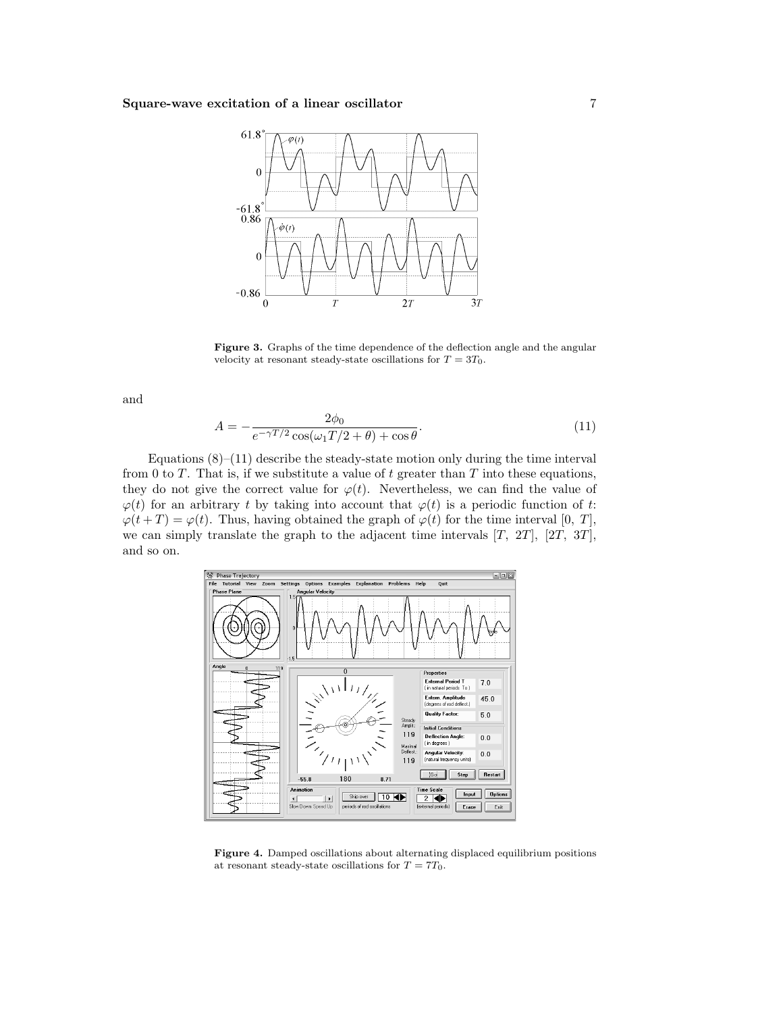

Figure 3. Graphs of the time dependence of the deflection angle and the angular velocity at resonant steady-state oscillations for  $T = 3T_0$ .

and

$$
A = -\frac{2\phi_0}{e^{-\gamma T/2}\cos(\omega_1 T/2 + \theta) + \cos\theta}.\tag{11}
$$

Equations  $(8)-(11)$  describe the steady-state motion only during the time interval from 0 to  $T$ . That is, if we substitute a value of  $t$  greater than  $T$  into these equations, they do not give the correct value for  $\varphi(t)$ . Nevertheless, we can find the value of  $\varphi(t)$  for an arbitrary t by taking into account that  $\varphi(t)$  is a periodic function of t:  $\varphi(t+T) = \varphi(t)$ . Thus, having obtained the graph of  $\varphi(t)$  for the time interval [0, T], we can simply translate the graph to the adjacent time intervals  $[T, 2T]$ ,  $[2T, 3T]$ , and so on.



Figure 4. Damped oscillations about alternating displaced equilibrium positions at resonant steady-state oscillations for  $T = 7T_0$ .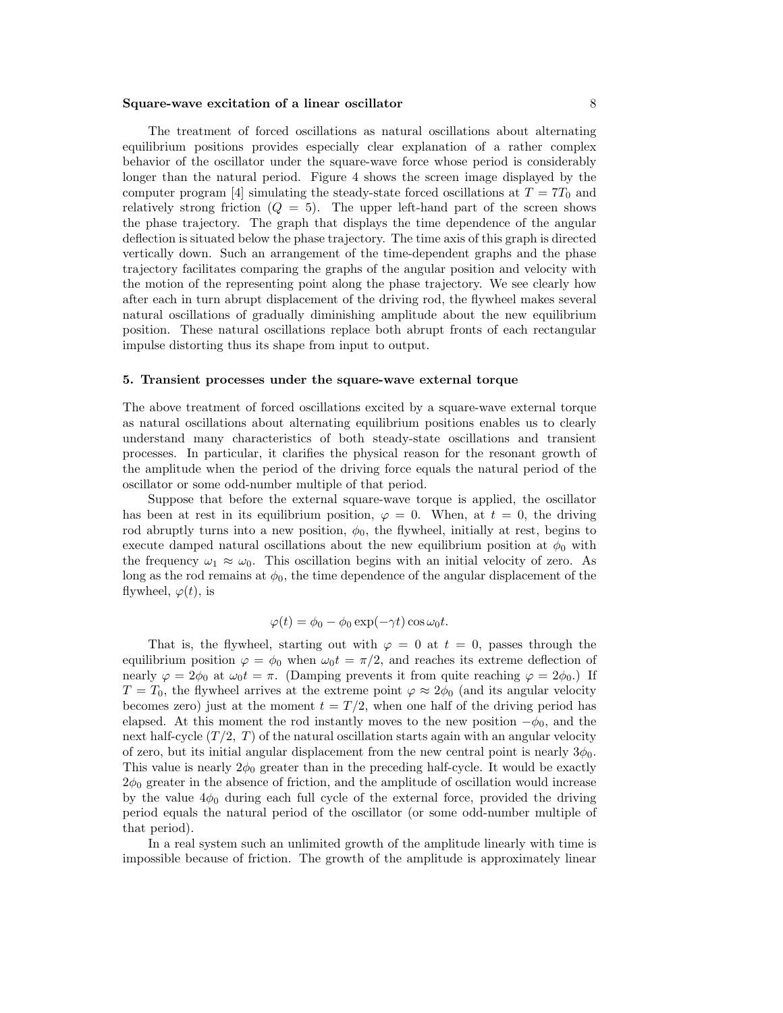The treatment of forced oscillations as natural oscillations about alternating equilibrium positions provides especially clear explanation of a rather complex behavior of the oscillator under the square-wave force whose period is considerably longer than the natural period. Figure 4 shows the screen image displayed by the computer program [4] simulating the steady-state forced oscillations at  $T = 7T_0$  and relatively strong friction  $(Q = 5)$ . The upper left-hand part of the screen shows the phase trajectory. The graph that displays the time dependence of the angular deflection is situated below the phase trajectory. The time axis of this graph is directed vertically down. Such an arrangement of the time-dependent graphs and the phase trajectory facilitates comparing the graphs of the angular position and velocity with the motion of the representing point along the phase trajectory. We see clearly how after each in turn abrupt displacement of the driving rod, the flywheel makes several natural oscillations of gradually diminishing amplitude about the new equilibrium position. These natural oscillations replace both abrupt fronts of each rectangular impulse distorting thus its shape from input to output.

#### 5. Transient processes under the square-wave external torque

The above treatment of forced oscillations excited by a square-wave external torque as natural oscillations about alternating equilibrium positions enables us to clearly understand many characteristics of both steady-state oscillations and transient processes. In particular, it clarifies the physical reason for the resonant growth of the amplitude when the period of the driving force equals the natural period of the oscillator or some odd-number multiple of that period.

Suppose that before the external square-wave torque is applied, the oscillator has been at rest in its equilibrium position,  $\varphi = 0$ . When, at  $t = 0$ , the driving rod abruptly turns into a new position,  $\phi_0$ , the flywheel, initially at rest, begins to execute damped natural oscillations about the new equilibrium position at  $\phi_0$  with the frequency  $\omega_1 \approx \omega_0$ . This oscillation begins with an initial velocity of zero. As long as the rod remains at  $\phi_0$ , the time dependence of the angular displacement of the flywheel,  $\varphi(t)$ , is

$$
\varphi(t) = \phi_0 - \phi_0 \exp(-\gamma t) \cos \omega_0 t.
$$

That is, the flywheel, starting out with  $\varphi = 0$  at  $t = 0$ , passes through the equilibrium position  $\varphi = \phi_0$  when  $\omega_0 t = \pi/2$ , and reaches its extreme deflection of nearly  $\varphi = 2\phi_0$  at  $\omega_0 t = \pi$ . (Damping prevents it from quite reaching  $\varphi = 2\phi_0$ .) If  $T = T_0$ , the flywheel arrives at the extreme point  $\varphi \approx 2\phi_0$  (and its angular velocity becomes zero) just at the moment  $t = T/2$ , when one half of the driving period has elapsed. At this moment the rod instantly moves to the new position  $-\phi_0$ , and the next half-cycle  $(T/2, T)$  of the natural oscillation starts again with an angular velocity of zero, but its initial angular displacement from the new central point is nearly  $3\phi_0$ . This value is nearly  $2\phi_0$  greater than in the preceding half-cycle. It would be exactly  $2\phi_0$  greater in the absence of friction, and the amplitude of oscillation would increase by the value  $4\phi_0$  during each full cycle of the external force, provided the driving period equals the natural period of the oscillator (or some odd-number multiple of that period).

In a real system such an unlimited growth of the amplitude linearly with time is impossible because of friction. The growth of the amplitude is approximately linear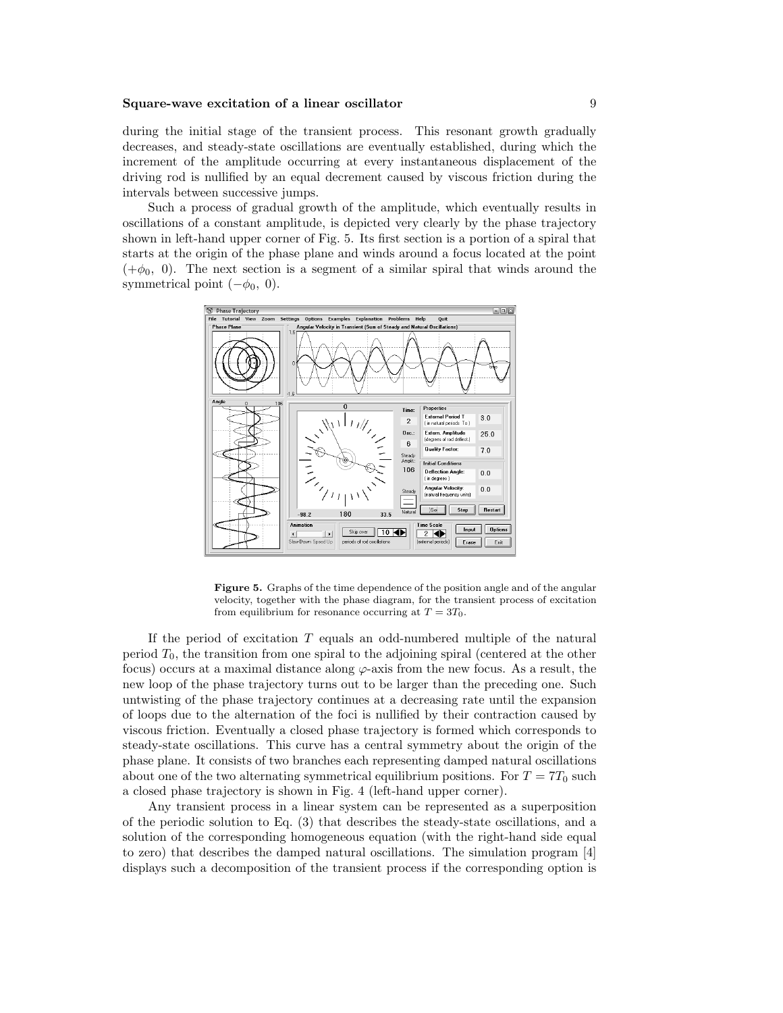during the initial stage of the transient process. This resonant growth gradually decreases, and steady-state oscillations are eventually established, during which the increment of the amplitude occurring at every instantaneous displacement of the driving rod is nullified by an equal decrement caused by viscous friction during the intervals between successive jumps.

Such a process of gradual growth of the amplitude, which eventually results in oscillations of a constant amplitude, is depicted very clearly by the phase trajectory shown in left-hand upper corner of Fig. 5. Its first section is a portion of a spiral that starts at the origin of the phase plane and winds around a focus located at the point  $(+\phi_0, 0)$ . The next section is a segment of a similar spiral that winds around the symmetrical point  $(-\phi_0, 0)$ .



Figure 5. Graphs of the time dependence of the position angle and of the angular velocity, together with the phase diagram, for the transient process of excitation from equilibrium for resonance occurring at  $T = 3T_0$ .

If the period of excitation  $T$  equals an odd-numbered multiple of the natural period  $T_0$ , the transition from one spiral to the adjoining spiral (centered at the other focus) occurs at a maximal distance along  $\varphi$ -axis from the new focus. As a result, the new loop of the phase trajectory turns out to be larger than the preceding one. Such untwisting of the phase trajectory continues at a decreasing rate until the expansion of loops due to the alternation of the foci is nullified by their contraction caused by viscous friction. Eventually a closed phase trajectory is formed which corresponds to steady-state oscillations. This curve has a central symmetry about the origin of the phase plane. It consists of two branches each representing damped natural oscillations about one of the two alternating symmetrical equilibrium positions. For  $T = 7T_0$  such a closed phase trajectory is shown in Fig. 4 (left-hand upper corner).

Any transient process in a linear system can be represented as a superposition of the periodic solution to Eq. (3) that describes the steady-state oscillations, and a solution of the corresponding homogeneous equation (with the right-hand side equal to zero) that describes the damped natural oscillations. The simulation program [4] displays such a decomposition of the transient process if the corresponding option is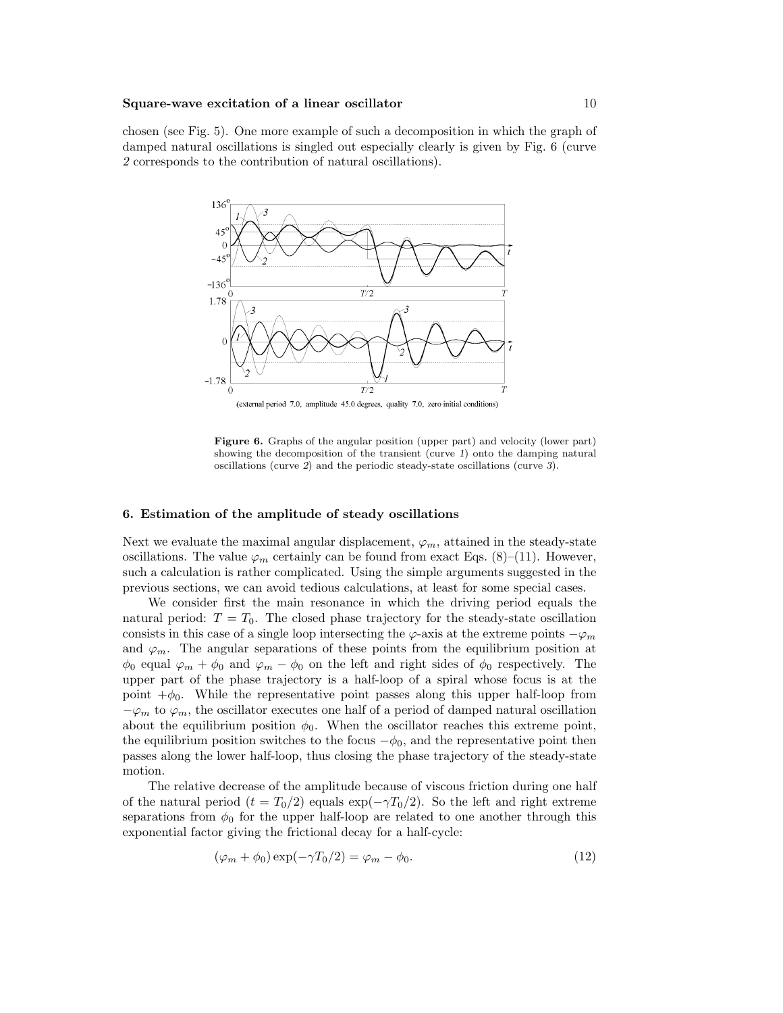chosen (see Fig. 5). One more example of such a decomposition in which the graph of damped natural oscillations is singled out especially clearly is given by Fig. 6 (curve 2 corresponds to the contribution of natural oscillations).



(external period 7.0, amplitude 45.0 degrees, quality 7.0, zero initial conditions)

Figure 6. Graphs of the angular position (upper part) and velocity (lower part) showing the decomposition of the transient (curve 1) onto the damping natural oscillations (curve 2) and the periodic steady-state oscillations (curve 3).

# 6. Estimation of the amplitude of steady oscillations

Next we evaluate the maximal angular displacement,  $\varphi_m$ , attained in the steady-state oscillations. The value  $\varphi_m$  certainly can be found from exact Eqs. (8)–(11). However, such a calculation is rather complicated. Using the simple arguments suggested in the previous sections, we can avoid tedious calculations, at least for some special cases.

We consider first the main resonance in which the driving period equals the natural period:  $T = T_0$ . The closed phase trajectory for the steady-state oscillation consists in this case of a single loop intersecting the  $\varphi$ -axis at the extreme points  $-\varphi_m$ and  $\varphi_m$ . The angular separations of these points from the equilibrium position at  $\phi_0$  equal  $\varphi_m + \phi_0$  and  $\varphi_m - \phi_0$  on the left and right sides of  $\phi_0$  respectively. The upper part of the phase trajectory is a half-loop of a spiral whose focus is at the point  $+\phi_0$ . While the representative point passes along this upper half-loop from  $-\varphi_m$  to  $\varphi_m$ , the oscillator executes one half of a period of damped natural oscillation about the equilibrium position  $\phi_0$ . When the oscillator reaches this extreme point. the equilibrium position switches to the focus  $-\phi_0$ , and the representative point then passes along the lower half-loop, thus closing the phase trajectory of the steady-state motion.

The relative decrease of the amplitude because of viscous friction during one half of the natural period  $(t = T_0/2)$  equals  $\exp(-\gamma T_0/2)$ . So the left and right extreme separations from  $\phi_0$  for the upper half-loop are related to one another through this exponential factor giving the frictional decay for a half-cycle:

$$
(\varphi_m + \phi_0) \exp(-\gamma T_0/2) = \varphi_m - \phi_0. \tag{12}
$$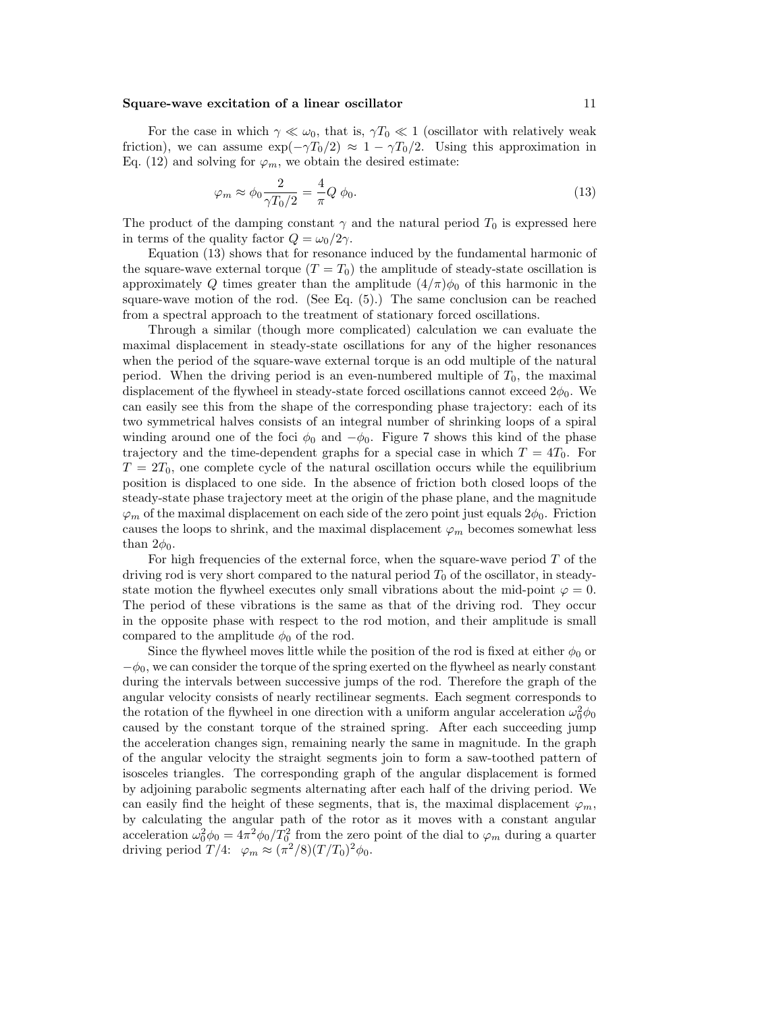For the case in which  $\gamma \ll \omega_0$ , that is,  $\gamma T_0 \ll 1$  (oscillator with relatively weak friction), we can assume  $\exp(-\gamma T_0/2) \approx 1 - \gamma T_0/2$ . Using this approximation in Eq. (12) and solving for  $\varphi_m$ , we obtain the desired estimate:

$$
\varphi_m \approx \phi_0 \frac{2}{\gamma T_0/2} = \frac{4}{\pi} Q \phi_0. \tag{13}
$$

The product of the damping constant  $\gamma$  and the natural period  $T_0$  is expressed here in terms of the quality factor  $Q = \omega_0/2\gamma$ .

Equation (13) shows that for resonance induced by the fundamental harmonic of the square-wave external torque  $(T = T_0)$  the amplitude of steady-state oscillation is approximately Q times greater than the amplitude  $(4/\pi)\phi_0$  of this harmonic in the square-wave motion of the rod. (See Eq. (5).) The same conclusion can be reached from a spectral approach to the treatment of stationary forced oscillations.

Through a similar (though more complicated) calculation we can evaluate the maximal displacement in steady-state oscillations for any of the higher resonances when the period of the square-wave external torque is an odd multiple of the natural period. When the driving period is an even-numbered multiple of  $T_0$ , the maximal displacement of the flywheel in steady-state forced oscillations cannot exceed  $2\phi_0$ . We can easily see this from the shape of the corresponding phase trajectory: each of its two symmetrical halves consists of an integral number of shrinking loops of a spiral winding around one of the foci  $\phi_0$  and  $-\phi_0$ . Figure 7 shows this kind of the phase trajectory and the time-dependent graphs for a special case in which  $T = 4T_0$ . For  $T = 2T_0$ , one complete cycle of the natural oscillation occurs while the equilibrium position is displaced to one side. In the absence of friction both closed loops of the steady-state phase trajectory meet at the origin of the phase plane, and the magnitude  $\varphi_m$  of the maximal displacement on each side of the zero point just equals  $2\phi_0$ . Friction causes the loops to shrink, and the maximal displacement  $\varphi_m$  becomes somewhat less than  $2\phi_0$ .

For high frequencies of the external force, when the square-wave period  $T$  of the driving rod is very short compared to the natural period  $T_0$  of the oscillator, in steadystate motion the flywheel executes only small vibrations about the mid-point  $\varphi = 0$ . The period of these vibrations is the same as that of the driving rod. They occur in the opposite phase with respect to the rod motion, and their amplitude is small compared to the amplitude  $\phi_0$  of the rod.

Since the flywheel moves little while the position of the rod is fixed at either  $\phi_0$  or  $-\phi_0$ , we can consider the torque of the spring exerted on the flywheel as nearly constant during the intervals between successive jumps of the rod. Therefore the graph of the angular velocity consists of nearly rectilinear segments. Each segment corresponds to the rotation of the flywheel in one direction with a uniform angular acceleration  $\omega_0^2 \phi_0$ caused by the constant torque of the strained spring. After each succeeding jump the acceleration changes sign, remaining nearly the same in magnitude. In the graph of the angular velocity the straight segments join to form a saw-toothed pattern of isosceles triangles. The corresponding graph of the angular displacement is formed by adjoining parabolic segments alternating after each half of the driving period. We can easily find the height of these segments, that is, the maximal displacement  $\varphi_m$ , by calculating the angular path of the rotor as it moves with a constant angular acceleration  $\omega_0^2 \phi_0 = 4\pi^2 \phi_0/T_0^2$  from the zero point of the dial to  $\varphi_m$  during a quarter driving period  $T/4$ :  $\varphi_m \approx (\pi^2/8)(T/T_0)^2 \phi_0$ .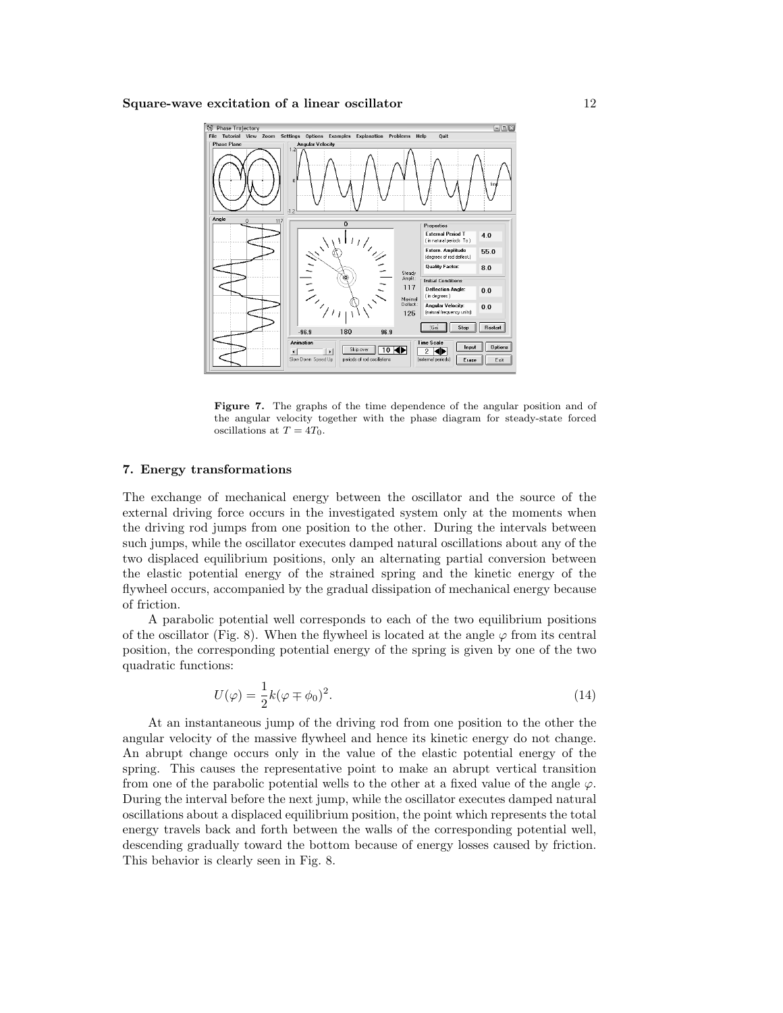

Figure 7. The graphs of the time dependence of the angular position and of the angular velocity together with the phase diagram for steady-state forced oscillations at  $T = 4T_0$ .

## 7. Energy transformations

The exchange of mechanical energy between the oscillator and the source of the external driving force occurs in the investigated system only at the moments when the driving rod jumps from one position to the other. During the intervals between such jumps, while the oscillator executes damped natural oscillations about any of the two displaced equilibrium positions, only an alternating partial conversion between the elastic potential energy of the strained spring and the kinetic energy of the flywheel occurs, accompanied by the gradual dissipation of mechanical energy because of friction.

A parabolic potential well corresponds to each of the two equilibrium positions of the oscillator (Fig. 8). When the flywheel is located at the angle  $\varphi$  from its central position, the corresponding potential energy of the spring is given by one of the two quadratic functions:

$$
U(\varphi) = \frac{1}{2}k(\varphi \mp \phi_0)^2.
$$
 (14)

At an instantaneous jump of the driving rod from one position to the other the angular velocity of the massive flywheel and hence its kinetic energy do not change. An abrupt change occurs only in the value of the elastic potential energy of the spring. This causes the representative point to make an abrupt vertical transition from one of the parabolic potential wells to the other at a fixed value of the angle  $\varphi$ . During the interval before the next jump, while the oscillator executes damped natural oscillations about a displaced equilibrium position, the point which represents the total energy travels back and forth between the walls of the corresponding potential well, descending gradually toward the bottom because of energy losses caused by friction. This behavior is clearly seen in Fig. 8.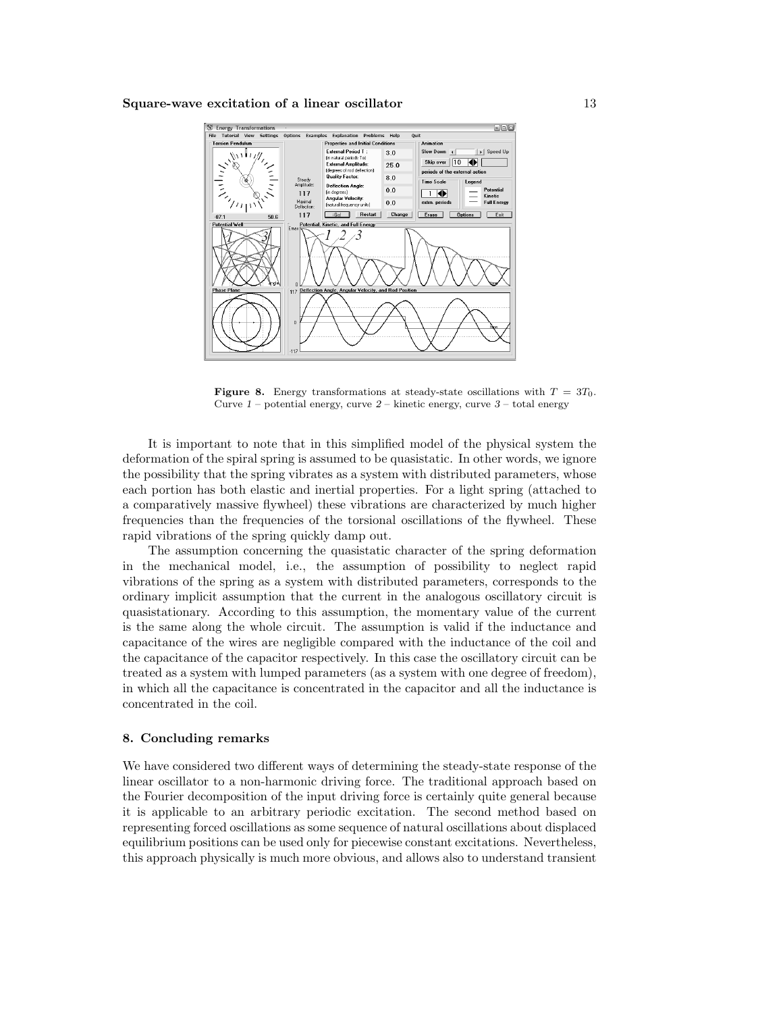

**Figure 8.** Energy transformations at steady-state oscillations with  $T = 3T_0$ . Curve  $1$  – potential energy, curve  $2$  – kinetic energy, curve  $3$  – total energy

It is important to note that in this simplified model of the physical system the deformation of the spiral spring is assumed to be quasistatic. In other words, we ignore the possibility that the spring vibrates as a system with distributed parameters, whose each portion has both elastic and inertial properties. For a light spring (attached to a comparatively massive flywheel) these vibrations are characterized by much higher frequencies than the frequencies of the torsional oscillations of the flywheel. These rapid vibrations of the spring quickly damp out.

The assumption concerning the quasistatic character of the spring deformation in the mechanical model, i.e., the assumption of possibility to neglect rapid vibrations of the spring as a system with distributed parameters, corresponds to the ordinary implicit assumption that the current in the analogous oscillatory circuit is quasistationary. According to this assumption, the momentary value of the current is the same along the whole circuit. The assumption is valid if the inductance and capacitance of the wires are negligible compared with the inductance of the coil and the capacitance of the capacitor respectively. In this case the oscillatory circuit can be treated as a system with lumped parameters (as a system with one degree of freedom), in which all the capacitance is concentrated in the capacitor and all the inductance is concentrated in the coil.

## 8. Concluding remarks

We have considered two different ways of determining the steady-state response of the linear oscillator to a non-harmonic driving force. The traditional approach based on the Fourier decomposition of the input driving force is certainly quite general because it is applicable to an arbitrary periodic excitation. The second method based on representing forced oscillations as some sequence of natural oscillations about displaced equilibrium positions can be used only for piecewise constant excitations. Nevertheless, this approach physically is much more obvious, and allows also to understand transient